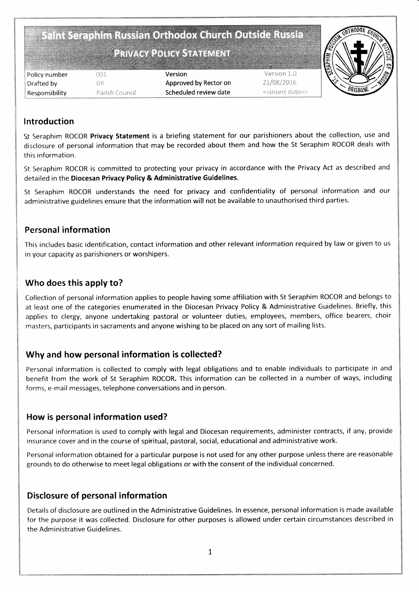Saint Seraphim Russian Orthodox Church Outside Russia

# PRIVACY POLICY STATEMENT

|                |                | 圈                                                        |
|----------------|----------------|----------------------------------------------------------|
| Policy number  | 30 1           | Version 1.0<br>Version                                   |
| Drafted by     | R              | 21/08/2016<br>Approved by Rector on                      |
| Responsibility | Parish Council | Scheduled review date<br>< <insert date="">&gt;</insert> |



#### lntroduction

St Seraphim ROCOR Privacy Statement is a briefing statement for our parishioners about the collection, use and disclosure of personal information that may be recorded about them and how the St Seraphim ROCOR deals with this information.

St Seraphim ROCOR is committed to protecting your privacy in accordance with the Privacy Act as described and detailed in the Diocesan Privacy Policy & Administrative Guidelines.

St Seraphim ROCOR understands the need for privacy and confidentiality of personal information and our administrative guidelines ensure that the information will not be available to unauthorised third parties.

#### Personal information

This includes basic identification, contact information and other relevant information required by law or given to us in your capacity as parishioners or worshipers.

### Who does this apply to?

Collection of personal information applies to people having some affiliation with St Seraphim ROCOR and belongs to at least one of the categories enumerated in the Diocesan Privacy Policy & Administrative Guidelines. Briefly, this applies to clergy, anyone undertaking pastoral or volunteer duties, employees, members, office bearers, choir masters, participants in sacraments and anyone wishing to be placed on any sort of mailing lists.

## Why and how personal information is collected?

Personal information is collected to comply with legal obligations and to enable individuals to participate in and benefit from the work of St Seraphim ROCOR. This information can be collected in a number of ways, including forms, e-mail messages, telephone conversations and in person.

#### How is personal information used?

Personal information is used to comply with legal and Diocesan requirements, administer contracts, if any, provide insurance cover and in the course of spiritual, pastoral, social, educational and administrative work.

Personal information obtained for a particular purpose is not used for any other purpose unless there are reasonable grounds to do otherwise to meet legal obligations or with the consent of the individual concerned.

## Disclosure of personal information

Details of disclosure are outlined in the Administrative Guidelines. ln essence, personal information is made available for the purpose it was collected. Disclosure for other purposes is allowed under certain circumstances described in the Administrative Guidelines.